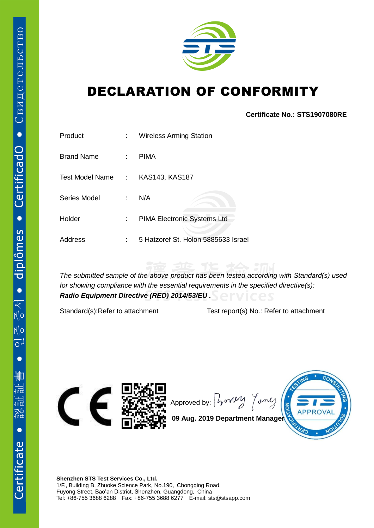

## DECLARATION OF CONFORMITY

**Certificate No.: STS1907080RE**

| Product           | t i                       | <b>Wireless Arming Station</b>      |
|-------------------|---------------------------|-------------------------------------|
| <b>Brand Name</b> | ÷.                        | <b>PIMA</b>                         |
| Test Model Name   | ÷                         | KAS143, KAS187                      |
| Series Model      | t.                        | N/A                                 |
| Holder            | $\mathbb{Z}^{\mathbb{Z}}$ | PIMA Electronic Systems Ltd         |
| Address           | t                         | 5 Hatzoref St. Holon 5885633 Israel |

*The submitted sample of the above product has been tested according with Standard(s) used for showing compliance with the essential requirements in the specified directive(s): Radio Equipment Directive (RED) 2014/53/EU .*

Standard(s):Refer to attachment Test report(s) No.: Refer to attachment



Approved by:  $\int \sqrt{v^2 + v^2}$ Jones



**09 Aug. 2019 Department Manager**

**Shenzhen STS Test Services Co., Ltd.** 1/F., Building B, Zhuoke Science Park, No.190, Chongqing Road, Fuyong Street, Bao'an District, Shenzhen, Guangdong, China Tel: +86-755 3688 6288 Fax: +86-755 3688 6277 E-mail: sts@stsapp.com